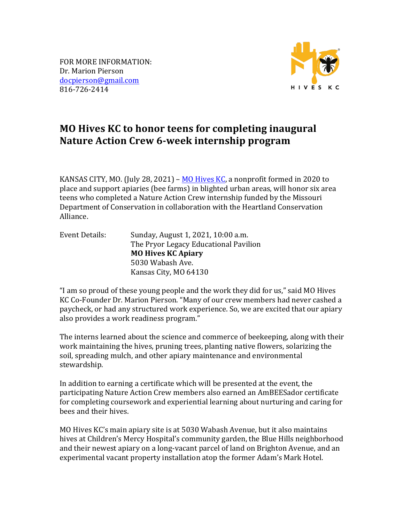FOR MORE INFORMATION: Dr. Marion Pierson docpierson@gmail.com 816-726-2414



## **MO** Hives KC to honor teens for completing inaugural Nature Action Crew 6-week internship program

KANSAS CITY, MO. (July 28, 2021) –  $\overline{MO}$  Hives KC, a nonprofit formed in 2020 to place and support apiaries (bee farms) in blighted urban areas, will honor six area teens who completed a Nature Action Crew internship funded by the Missouri Department of Conservation in collaboration with the Heartland Conservation Alliance.

Event Details: Sunday, August 1, 2021, 10:00 a.m. The Pryor Legacy Educational Pavilion **MO Hives KC Apiary** 5030 Wabash Ave. Kansas City, MO 64130

"I am so proud of these young people and the work they did for us," said MO Hives KC Co-Founder Dr. Marion Pierson. "Many of our crew members had never cashed a paycheck, or had any structured work experience. So, we are excited that our apiary also provides a work readiness program."

The interns learned about the science and commerce of beekeeping, along with their work maintaining the hives, pruning trees, planting native flowers, solarizing the soil, spreading mulch, and other apiary maintenance and environmental stewardship.

In addition to earning a certificate which will be presented at the event, the participating Nature Action Crew members also earned an AmBEESador certificate for completing coursework and experiential learning about nurturing and caring for bees and their hives.

MO Hives KC's main apiary site is at 5030 Wabash Avenue, but it also maintains hives at Children's Mercy Hospital's community garden, the Blue Hills neighborhood and their newest apiary on a long-vacant parcel of land on Brighton Avenue, and an experimental vacant property installation atop the former Adam's Mark Hotel.